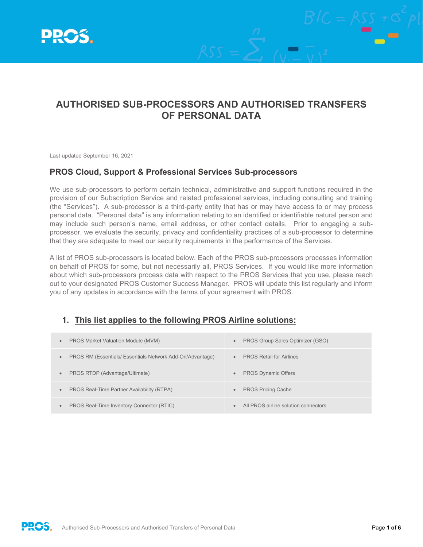

# **AUTHORISED SUB-PROCESSORS AND AUTHORISED TRANSFERS OF PERSONAL DATA**

Last updated September 16, 2021

#### **PROS Cloud, Support & Professional Services Sub-processors**

We use sub-processors to perform certain technical, administrative and support functions required in the provision of our Subscription Service and related professional services, including consulting and training (the "Services"). A sub-processor is a third-party entity that has or may have access to or may process personal data. "Personal data" is any information relating to an identified or identifiable natural person and may include such person's name, email address, or other contact details. Prior to engaging a subprocessor, we evaluate the security, privacy and confidentiality practices of a sub-processor to determine that they are adequate to meet our security requirements in the performance of the Services.

A list of PROS sub-processors is located below. Each of the PROS sub-processors processes information on behalf of PROS for some, but not necessarily all, PROS Services. If you would like more information about which sub-processors process data with respect to the PROS Services that you use, please reach out to your designated PROS Customer Success Manager. PROS will update this list regularly and inform you of any updates in accordance with the terms of your agreement with PROS.

#### **1. This list applies to the following PROS Airline solutions:**

| <b>PROS Market Valuation Module (MVM)</b>                 | PROS Group Sales Optimizer (GSO)     |
|-----------------------------------------------------------|--------------------------------------|
| $\bullet$                                                 | $\bullet$                            |
| PROS RM (Essentials/ Essentials Network Add-On/Advantage) | <b>PROS Retail for Airlines</b>      |
| $\bullet$                                                 | $\bullet$                            |
| PROS RTDP (Advantage/Ultimate)                            | <b>PROS Dynamic Offers</b>           |
| $\bullet$                                                 | $\bullet$                            |
| PROS Real-Time Partner Availability (RTPA)                | <b>PROS Pricing Cache</b>            |
| $\bullet$                                                 | $\bullet$                            |
| PROS Real-Time Inventory Connector (RTIC)<br>$\bullet$    | All PROS airline solution connectors |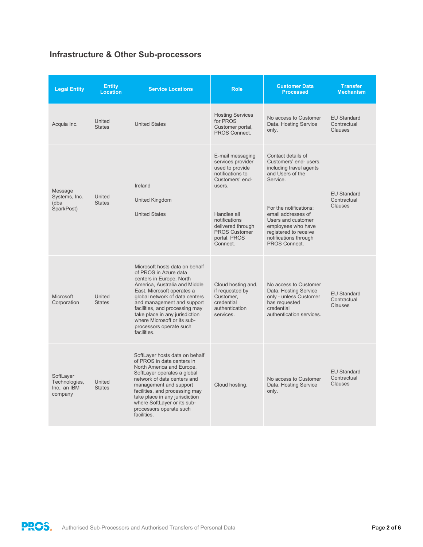# **Infrastructure & Other Sub-processors**

| <b>Legal Entity</b>                                   | <b>Entity</b><br><b>Location</b> | <b>Service Locations</b>                                                                                                                                                                                                                                                                                                                                        | <b>Role</b>                                                                                                                                                                                                        | <b>Customer Data</b><br><b>Processed</b>                                                                                                                                                                                                                               | <b>Transfer</b><br><b>Mechanism</b>                 |
|-------------------------------------------------------|----------------------------------|-----------------------------------------------------------------------------------------------------------------------------------------------------------------------------------------------------------------------------------------------------------------------------------------------------------------------------------------------------------------|--------------------------------------------------------------------------------------------------------------------------------------------------------------------------------------------------------------------|------------------------------------------------------------------------------------------------------------------------------------------------------------------------------------------------------------------------------------------------------------------------|-----------------------------------------------------|
| Acquia Inc.                                           | United<br><b>States</b>          | <b>United States</b>                                                                                                                                                                                                                                                                                                                                            | <b>Hosting Services</b><br>for PROS<br>Customer portal.<br>PROS Connect.                                                                                                                                           | No access to Customer<br>Data. Hosting Service<br>only.                                                                                                                                                                                                                | <b>EU Standard</b><br>Contractual<br><b>Clauses</b> |
| Message<br>Systems, Inc.<br>(dba<br>SparkPost)        | United<br><b>States</b>          | Ireland<br><b>United Kingdom</b><br><b>United States</b>                                                                                                                                                                                                                                                                                                        | E-mail messaging<br>services provider<br>used to provide<br>notifications to<br>Customers' end-<br>users.<br>Handles all<br>notifications<br>delivered through<br><b>PROS Customer</b><br>portal, PROS<br>Connect. | Contact details of<br>Customers' end- users,<br>including travel agents<br>and Users of the<br>Service.<br>For the notifications:<br>email addresses of<br>Users and customer<br>emplovees who have<br>registered to receive<br>notifications through<br>PROS Connect. | <b>EU Standard</b><br>Contractual<br><b>Clauses</b> |
| <b>Microsoft</b><br>Corporation                       | United<br><b>States</b>          | Microsoft hosts data on behalf<br>of PROS in Azure data<br>centers in Europe, North<br>America, Australia and Middle<br>East. Microsoft operates a<br>global network of data centers<br>and management and support<br>facilities, and processing may<br>take place in any jurisdiction<br>where Microsoft or its sub-<br>processors operate such<br>facilities. | Cloud hosting and,<br>if requested by<br>Customer.<br>credential<br>authentication<br>services.                                                                                                                    | No access to Customer<br>Data. Hosting Service<br>only - unless Customer<br>has requested<br>credential<br>authentication services.                                                                                                                                    | <b>EU Standard</b><br>Contractual<br>Clauses        |
| SoftLayer<br>Technologies,<br>Inc., an IBM<br>company | United<br><b>States</b>          | SoftLaver hosts data on behalf<br>of PROS in data centers in<br>North America and Europe.<br>SoftLayer operates a global<br>network of data centers and<br>management and support<br>facilities, and processing may<br>take place in any jurisdiction<br>where SoftLayer or its sub-<br>processors operate such<br>facilities.                                  | Cloud hosting.                                                                                                                                                                                                     | No access to Customer<br>Data. Hosting Service<br>only.                                                                                                                                                                                                                | <b>EU Standard</b><br>Contractual<br><b>Clauses</b> |

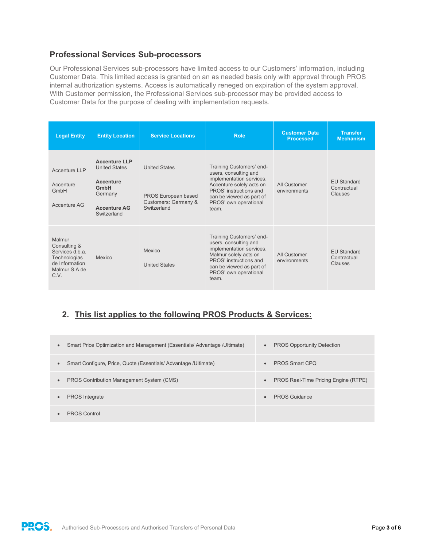### **Professional Services Sub-processors**

Our Professional Services sub-processors have limited access to our Customers' information, including Customer Data. This limited access is granted on an as needed basis only with approval through PROS internal authorization systems. Access is automatically reneged on expiration of the system approval. With Customer permission, the Professional Services sub-processor may be provided access to Customer Data for the purpose of dealing with implementation requests.

| <b>Legal Entity</b>                                                                                  | <b>Entity Location</b>                                                                                             | <b>Service Locations</b>                                                           | <b>Role</b>                                                                                                                                                                                       | <b>Customer Data</b><br><b>Processed</b> | <b>Transfer</b><br><b>Mechanism</b>          |
|------------------------------------------------------------------------------------------------------|--------------------------------------------------------------------------------------------------------------------|------------------------------------------------------------------------------------|---------------------------------------------------------------------------------------------------------------------------------------------------------------------------------------------------|------------------------------------------|----------------------------------------------|
| Accenture LLP<br>Accenture<br>GmbH<br>Accenture AG                                                   | <b>Accenture LLP</b><br><b>United States</b><br>Accenture<br>GmbH<br>Germany<br><b>Accenture AG</b><br>Switzerland | <b>United States</b><br>PROS European based<br>Customers: Germany &<br>Switzerland | Training Customers' end-<br>users, consulting and<br>implementation services.<br>Accenture solely acts on<br>PROS' instructions and<br>can be viewed as part of<br>PROS' own operational<br>team. | All Customer<br>environments             | <b>EU Standard</b><br>Contractual<br>Clauses |
| Malmur<br>Consulting &<br>Services d.b.a.<br>Technologias<br>de Information<br>Malmur S.A de<br>C.V. | Mexico                                                                                                             | Mexico<br><b>United States</b>                                                     | Training Customers' end-<br>users, consulting and<br>implementation services.<br>Malmur solely acts on<br>PROS' instructions and<br>can be viewed as part of<br>PROS' own operational<br>team.    | All Customer<br>environments             | <b>EU Standard</b><br>Contractual<br>Clauses |

## **2. This list applies to the following PROS Products & Services:**

| $\bullet$ | Smart Price Optimization and Management (Essentials/ Advantage / Ultimate) | $\bullet$ | <b>PROS Opportunity Detection</b>    |
|-----------|----------------------------------------------------------------------------|-----------|--------------------------------------|
|           | Smart Configure, Price, Quote (Essentials/Advantage/Ultimate)              | $\bullet$ | <b>PROS Smart CPO</b>                |
| $\bullet$ | PROS Contribution Management System (CMS)                                  | $\bullet$ | PROS Real-Time Pricing Engine (RTPE) |
|           | <b>PROS</b> Integrate                                                      | $\bullet$ | <b>PROS Guidance</b>                 |
|           | <b>PROS Control</b>                                                        |           |                                      |

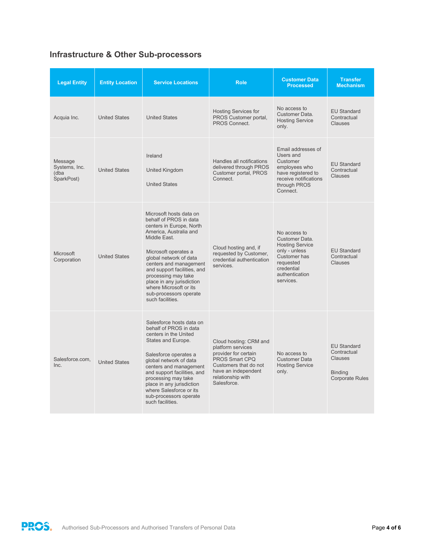# **Infrastructure & Other Sub-processors**

| <b>Legal Entity</b>                            | <b>Entity Location</b> | <b>Service Locations</b>                                                                                                                                                                                                                                                                                                                                       | <b>Role</b>                                                                                                                                                               | <b>Customer Data</b><br><b>Processed</b>                                                                                                            | <b>Transfer</b><br><b>Mechanism</b>                                                             |
|------------------------------------------------|------------------------|----------------------------------------------------------------------------------------------------------------------------------------------------------------------------------------------------------------------------------------------------------------------------------------------------------------------------------------------------------------|---------------------------------------------------------------------------------------------------------------------------------------------------------------------------|-----------------------------------------------------------------------------------------------------------------------------------------------------|-------------------------------------------------------------------------------------------------|
| Acquia Inc.                                    | <b>United States</b>   | <b>United States</b>                                                                                                                                                                                                                                                                                                                                           | <b>Hosting Services for</b><br>PROS Customer portal,<br>PROS Connect.                                                                                                     | No access to<br>Customer Data.<br><b>Hosting Service</b><br>only.                                                                                   | <b>EU Standard</b><br>Contractual<br><b>Clauses</b>                                             |
| Message<br>Systems, Inc.<br>(dba<br>SparkPost) | <b>United States</b>   | Ireland<br>United Kingdom<br><b>United States</b>                                                                                                                                                                                                                                                                                                              | Handles all notifications<br>delivered through PROS<br>Customer portal, PROS<br>Connect.                                                                                  | Email addresses of<br>Users and<br>Customer<br>employees who<br>have registered to<br>receive notifications<br>through PROS<br>Connect.             | <b>EU Standard</b><br>Contractual<br><b>Clauses</b>                                             |
| <b>Microsoft</b><br>Corporation                | <b>United States</b>   | Microsoft hosts data on<br>behalf of PROS in data<br>centers in Europe. North<br>America, Australia and<br>Middle East.<br>Microsoft operates a<br>global network of data<br>centers and management<br>and support facilities, and<br>processing may take<br>place in any jurisdiction<br>where Microsoft or its<br>sub-processors operate<br>such facilities. | Cloud hosting and, if<br>requested by Customer,<br>credential authentication<br>services.                                                                                 | No access to<br>Customer Data.<br><b>Hosting Service</b><br>only - unless<br>Customer has<br>requested<br>credential<br>authentication<br>services. | <b>EU Standard</b><br>Contractual<br>Clauses                                                    |
| Salesforce.com.<br>Inc.                        | <b>United States</b>   | Salesforce hosts data on<br>behalf of PROS in data<br>centers in the United<br>States and Europe.<br>Salesforce operates a<br>global network of data<br>centers and management<br>and support facilities, and<br>processing may take<br>place in any jurisdiction<br>where Salesforce or its<br>sub-processors operate<br>such facilities.                     | Cloud hosting: CRM and<br>platform services<br>provider for certain<br>PROS Smart CPO<br>Customers that do not<br>have an independent<br>relationship with<br>Salesforce. | No access to<br>Customer Data<br><b>Hosting Service</b><br>only.                                                                                    | <b>EU Standard</b><br>Contractual<br><b>Clauses</b><br><b>Binding</b><br><b>Corporate Rules</b> |

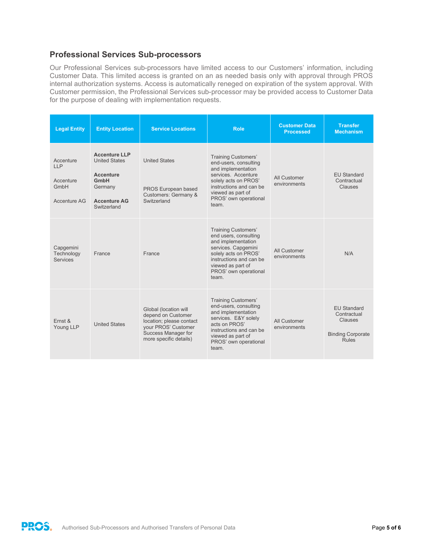### **Professional Services Sub-processors**

Our Professional Services sub-processors have limited access to our Customers' information, including Customer Data. This limited access is granted on an as needed basis only with approval through PROS internal authorization systems. Access is automatically reneged on expiration of the system approval. With Customer permission, the Professional Services sub-processor may be provided access to Customer Data for the purpose of dealing with implementation requests.

| <b>Legal Entity</b>                                   | <b>Entity Location</b>                                                                                             | <b>Service Locations</b>                                                                                                                        | <b>Role</b>                                                                                                                                                                                                | <b>Customer Data</b><br><b>Processed</b> | <b>Transfer</b><br><b>Mechanism</b>                                                      |
|-------------------------------------------------------|--------------------------------------------------------------------------------------------------------------------|-------------------------------------------------------------------------------------------------------------------------------------------------|------------------------------------------------------------------------------------------------------------------------------------------------------------------------------------------------------------|------------------------------------------|------------------------------------------------------------------------------------------|
| Accenture<br>LLP<br>Accenture<br>GmbH<br>Accenture AG | <b>Accenture LLP</b><br><b>United States</b><br>Accenture<br>GmbH<br>Germany<br><b>Accenture AG</b><br>Switzerland | <b>United States</b><br><b>PROS European based</b><br>Customers: Germany &<br>Switzerland                                                       | <b>Training Customers'</b><br>end-users, consulting<br>and implementation<br>services. Accenture<br>solely acts on PROS'<br>instructions and can be<br>viewed as part of<br>PROS' own operational<br>team. | All Customer<br>environments             | FU Standard<br>Contractual<br><b>Clauses</b>                                             |
| Capgemini<br>Technology<br><b>Services</b>            | France                                                                                                             | France                                                                                                                                          | <b>Training Customers'</b><br>end users, consulting<br>and implementation<br>services. Capgemini<br>solely acts on PROS'<br>instructions and can be<br>viewed as part of<br>PROS' own operational<br>team. | All Customer<br>environments             | N/A                                                                                      |
| Ernst &<br>Young LLP                                  | <b>United States</b>                                                                                               | Global (location will<br>depend on Customer<br>location; please contact<br>vour PROS' Customer<br>Success Manager for<br>more specific details) | <b>Training Customers'</b><br>end-users, consulting<br>and implementation<br>services. E&Y solely<br>acts on PROS'<br>instructions and can be<br>viewed as part of<br>PROS' own operational<br>team.       | All Customer<br>environments             | <b>FU Standard</b><br>Contractual<br>Clauses<br><b>Binding Corporate</b><br><b>Rules</b> |